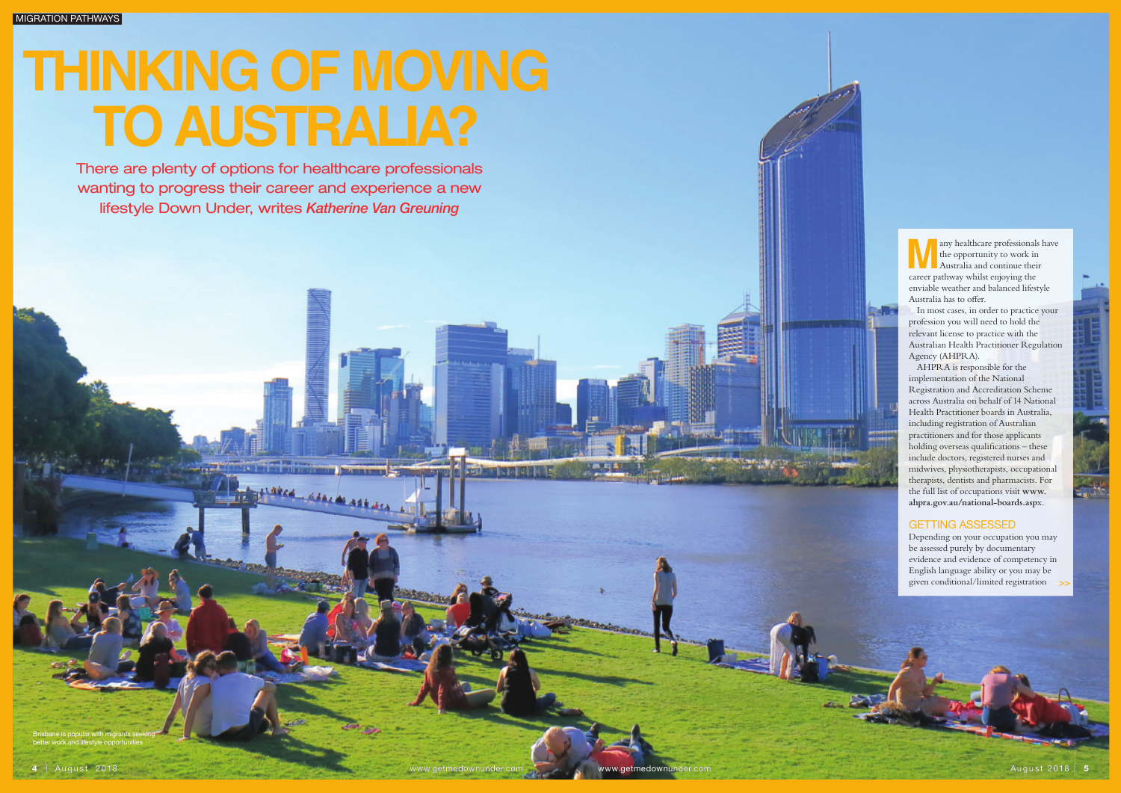Brisbane is popular with migrants seeking better work and lifestyle opportunities

any healthcare professionals have the opportunity to work in Australia and continue their career pathway whilst enjoying the enviable weather and balanced lifestyle Australia has to offer.

In most cases, in order to practice your profession you will need to hold the relevant license to practice with the Australian Health Practitioner Regulation Agency (AHPRA).

AHPRA is responsible for the implementation of the National Registration and Accreditation Scheme across Australia on behalf of 14 National Health Practitioner boards in Australia, including registration of Australian practitioners and for those applicants holding overseas qualifications – these include doctors, registered nurses and midwives, physiotherapists, occupational therapists, dentists and pharmacists. For the full list of occupations visit **www. ahpra.gov.au/national-boards.asp**x.

## GETTING ASSESSED

Depending on your occupation you may be assessed purely by documentary evidence and evidence of competency in English language ability or you may be given conditional/limited registration

Images iStock

# **Thinking of moving to ausTRalia?**

There are plenty of options for healthcare professionals wanting to progress their career and experience a new lifestyle Down Under, writes *Katherine Van Greuning* 

**HARRY GEAR AS ASKALL A**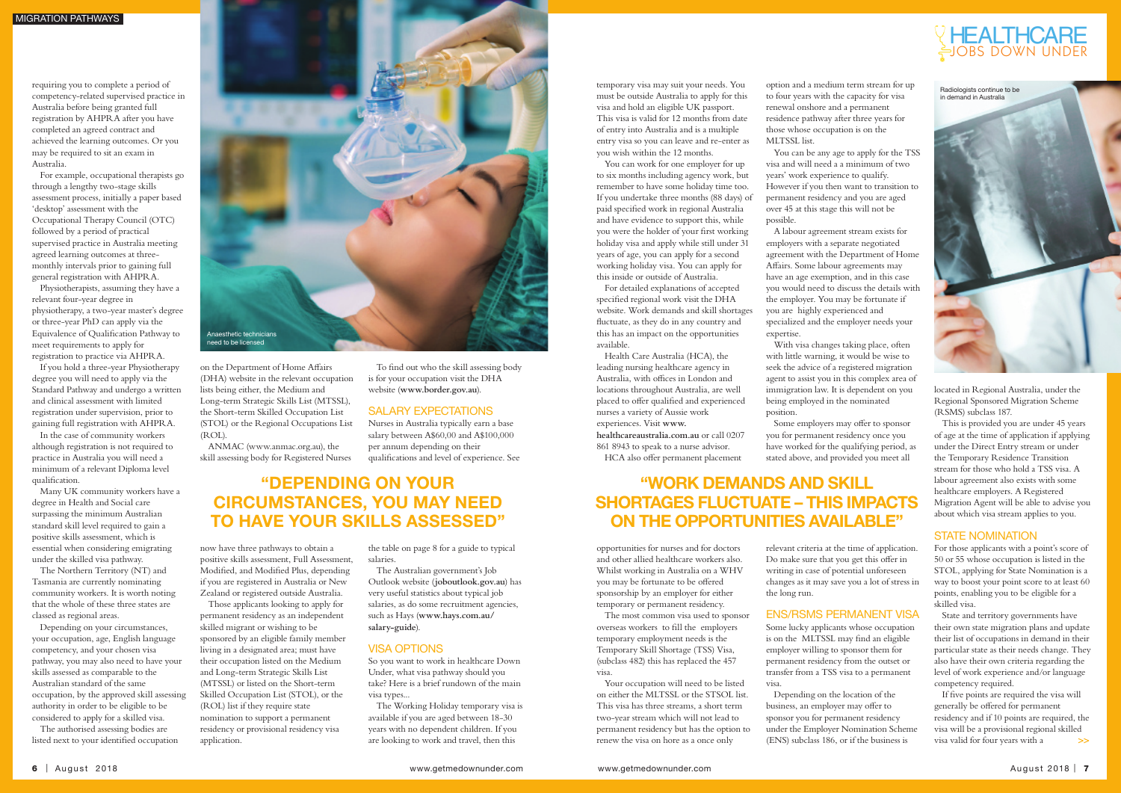on the Department of Home Affairs (DHA) website in the relevant occupation lists being either, the Medium and Long-term Strategic Skills List (MTSSL), the Short-term Skilled Occupation List (STOL) or the Regional Occupations List (ROL).

ANMAC (www.anmac.org.au), the skill assessing body for Registered Nurses

now have three pathways to obtain a positive skills assessment, Full Assessment, Modified, and Modified Plus, depending if you are registered in Australia or New Zealand or registered outside Australia.

SALARY EXPECTATIONS Nurses in Australia typically earn a base salary between A\$60,00 and A\$100,000

Those applicants looking to apply for permanent residency as an independent skilled migrant or wishing to be sponsored by an eligible family member living in a designated area; must have their occupation listed on the Medium and Long-term Strategic Skills List (MTSSL) or listed on the Short-term Skilled Occupation List (STOL), or the (ROL) list if they require state nomination to support a permanent residency or provisional residency visa application.

# "Depending on your circumstances, you may need to have your skills assessed"

To find out who the skill assessing body is for your occupation visit the DHA website (**www.border.gov.au**).

per annum depending on their

qualifications and level of experience. See

the table on page 8 for a guide to typical salaries.

The Australian government's Job Outlook website (**joboutlook.gov.au**) has very useful statistics about typical job salaries, as do some recruitment agencies, such as Hays (**www.hays.com.au/ salary-guide**).

### VISA OPTIONS

So you want to work in healthcare Down Under, what visa pathway should you take? Here is a brief rundown of the main visa types...

The Working Holiday temporary visa is available if you are aged between 18-30 years with no dependent children. If you are looking to work and travel, then this



requiring you to complete a period of competency-related supervised practice in Australia before being granted full registration by AHPRA after you have completed an agreed contract and achieved the learning outcomes. Or you may be required to sit an exam in Australia.

For example, occupational therapists go through a lengthy two-stage skills assessment process, initially a paper based 'desktop' assessment with the Occupational Therapy Council (OTC) followed by a period of practical supervised practice in Australia meeting agreed learning outcomes at threemonthly intervals prior to gaining full general registration with AHPRA.

Physiotherapists, assuming they have a relevant four-year degree in physiotherapy, a two-year master's degree or three-year PhD can apply via the Equivalence of Qualification Pathway to meet requirements to apply for registration to practice via AHPRA.

If you hold a three-year Physiotherapy degree you will need to apply via the Standard Pathway and undergo a written and clinical assessment with limited registration under supervision, prior to gaining full registration with AHPRA.

In the case of community workers although registration is not required to practice in Australia you will need a minimum of a relevant Diploma level qualification.

Many UK community workers have a degree in Health and Social care surpassing the minimum Australian standard skill level required to gain a positive skills assessment, which is essential when considering emigrating under the skilled visa pathway.

The Northern Territory (NT) and Tasmania are currently nominating community workers. It is worth noting that the whole of these three states are classed as regional areas.

Depending on your circumstances, your occupation, age, English language competency, and your chosen visa pathway, you may also need to have your skills assessed as comparable to the Australian standard of the same occupation, by the approved skill assessing authority in order to be eligible to be considered to apply for a skilled visa.

# "Work demands and skill shortages fluctuate – this impacts ON THE OPPORTUNITIES AVAILABLE"

The authorised assessing bodies are listed next to your identified occupation

temporary visa may suit your needs. You must be outside Australia to apply for this visa and hold an eligible UK passport. This visa is valid for 12 months from date of entry into Australia and is a multiple entry visa so you can leave and re-enter as you wish within the 12 months.

> If five points are required the visa will generally be offered for permanent residency and if 10 points are required, the visa will be a provisional regional skilled visa valid for four years with a  $\overline{\mathbf{S}}$

# JOBS DOWN UNDER **HEALTHCARE**

You can work for one employer for up to six months including agency work, but remember to have some holiday time too. If you undertake three months (88 days) of paid specified work in regional Australia and have evidence to support this, while you were the holder of your first working holiday visa and apply while still under 31 years of age, you can apply for a second working holiday visa. You can apply for this inside or outside of Australia.

For detailed explanations of accepted specified regional work visit the DHA website. Work demands and skill shortages fluctuate, as they do in any country and this has an impact on the opportunities available.

Health Care Australia (HCA), the leading nursing healthcare agency in Australia, with offices in London and locations throughout Australia, are well placed to offer qualified and experienced nurses a variety of Aussie work experiences. Visit **www. healthcareaustralia.com.au** or call 0207

861 8943 to speak to a nurse advisor. HCA also offer permanent placement

opportunities for nurses and for doctors and other allied healthcare workers also. Whilst working in Australia on a WHV you may be fortunate to be offered sponsorship by an employer for either temporary or permanent residency.

The most common visa used to sponsor overseas workers to fill the employers temporary employment needs is the Temporary Skill Shortage (TSS) Visa, (subclass 482) this has replaced the 457 visa.

Your occupation will need to be listed on either the MLTSSL or the STSOL list. This visa has three streams, a short term two-year stream which will not lead to permanent residency but has the option to renew the visa on hore as a once only

option and a medium term stream for up to four years with the capacity for visa renewal onshore and a permanent residence pathway after three years for those whose occupation is on the MLTSSL list.

You can be any age to apply for the TSS visa and will need a a minimum of two years' work experience to qualify. However if you then want to transition to permanent residency and you are aged over 45 at this stage this will not be possible.

A labour agreement stream exists for employers with a separate negotiated agreement with the Department of Home Affairs. Some labour agreements may have an age exemption, and in this case you would need to discuss the details with the employer. You may be fortunate if you are highly experienced and specialized and the employer needs your expertise.

With visa changes taking place, often with little warning, it would be wise to seek the advice of a registered migration agent to assist you in this complex area of immigration law. It is dependent on you being employed in the nominated position.

Some employers may offer to sponsor you for permanent residency once you have worked for the qualifying period, as stated above, and provided you meet all

relevant criteria at the time of application. Do make sure that you get this offer in writing in case of potential unforeseen changes as it may save you a lot of stress in the long run.

# ENS/RSMS PERMANENT VISA

Some lucky applicants whose occupation is on the MLTSSL may find an eligible employer willing to sponsor them for permanent residency from the outset or transfer from a TSS visa to a permanent visa.

Depending on the location of the business, an employer may offer to sponsor you for permanent residency under the Employer Nomination Scheme (ENS) subclass 186, or if the business is

located in Regional Australia, under the Regional Sponsored Migration Scheme (RSMS) subclass 187.

This is provided you are under 45 years of age at the time of application if applying under the Direct Entry stream or under the Temporary Residence Transition stream for those who hold a TSS visa. A labour agreement also exists with some healthcare employers. A Registered Migration Agent will be able to advise you about which visa stream applies to you.

## STATE NOMINATION

For those applicants with a point's score of 50 or 55 whose occupation is listed in the STOL, applying for State Nomination is a way to boost your point score to at least 60 points, enabling you to be eligible for a skilled visa.

State and territory governments have their own state migration plans and update their list of occupations in demand in their particular state as their needs change. They also have their own criteria regarding the level of work experience and/or language competency required.

#### migration pathways

Radiologists continue to be